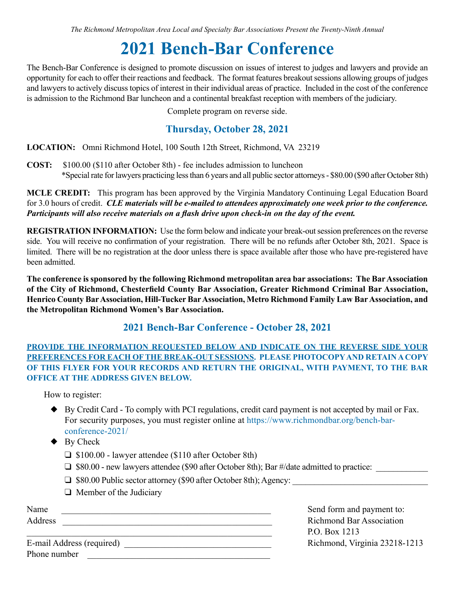*The Richmond Metropolitan Area Local and Specialty Bar Associations Present the Twenty-Ninth Annual*

# **2021 Bench-Bar Conference**

The Bench-Bar Conference is designed to promote discussion on issues of interest to judges and lawyers and provide an opportunity for each to offer their reactions and feedback. The format features breakout sessions allowing groups of judges and lawyers to actively discuss topics of interest in their individual areas of practice. Included in the cost of the conference is admission to the Richmond Bar luncheon and a continental breakfast reception with members of the judiciary.

Complete program on reverse side.

### **Thursday, October 28, 2021**

**LOCATION:** Omni Richmond Hotel, 100 South 12th Street, Richmond, VA 23219

**COST:** \$100.00 (\$110 after October 8th) - fee includes admission to luncheon \*Special rate for lawyers practicing less than 6 years and all public sector attorneys - \$80.00 (\$90 after October 8th)

**MCLE CREDIT:** This program has been approved by the Virginia Mandatory Continuing Legal Education Board for 3.0 hours of credit. *CLE materials will be e-mailed to attendees approximately one week prior to the conference. Participants will also receive materials on a flash drive upon check-in on the day of the event.*

**REGISTRATION INFORMATION:** Use the form below and indicate your break-out session preferences on the reverse side. You will receive no confirmation of your registration. There will be no refunds after October 8th, 2021. Space is limited. There will be no registration at the door unless there is space available after those who have pre-registered have been admitted.

**The conference is sponsored by the following Richmond metropolitan area bar associations: The Bar Association of the City of Richmond, Chesterfield County Bar Association, Greater Richmond Criminal Bar Association, Henrico County Bar Association, Hill-Tucker Bar Association, Metro Richmond Family Law Bar Association, and the Metropolitan Richmond Women's Bar Association.**

#### **2021 Bench-Bar Conference - October 28, 2021**

#### **PROVIDE THE INFORMATION REQUESTED BELOW AND INDICATE ON THE REVERSE SIDE YOUR PREFERENCES FOR EACH OF THE BREAK-OUT SESSIONS. PLEASE PHOTOCOPY AND RETAIN A COPY OF THIS FLYER FOR YOUR RECORDS AND RETURN THE ORIGINAL, WITH PAYMENT, TO THE BAR OFFICE AT THE ADDRESS GIVEN BELOW.**

How to register:

- u By Credit Card To comply with PCI regulations, credit card payment is not accepted by mail or Fax. For security purposes, you must register online at [https://www.richmondbar.org/bench-bar](https://www.richmondbar.org/bench-bar-conference-2021/)  [conference-2021/](https://www.richmondbar.org/bench-bar-conference-2021/)
- $\blacklozenge$  By Check
	- $\Box$  \$100.00 lawyer attendee (\$110 after October 8th)
	- $\Box$  \$80.00 new lawyers attendee (\$90 after October 8th); Bar #/date admitted to practice:
	- □ \$80.00 Public sector attorney (\$90 after October 8th); Agency: \_\_\_\_\_\_\_\_\_\_\_\_\_\_
	- $\Box$  Member of the Judiciary

| Address |  |
|---------|--|
|         |  |

Name Send form and payment to: Richmond Bar Association \_\_\_\_\_\_\_\_\_\_\_\_\_\_\_\_\_\_\_\_\_\_\_\_\_\_\_\_\_\_\_\_\_\_\_\_\_\_\_\_\_\_\_\_\_\_\_\_\_\_\_\_\_\_\_ P.O. Box 1213

E-mail Address (required) \_\_\_\_\_\_\_\_\_\_\_\_\_\_\_\_\_\_\_\_\_\_\_\_\_\_\_\_\_\_\_\_\_ Richmond, Virginia 23218-1213 Phone number